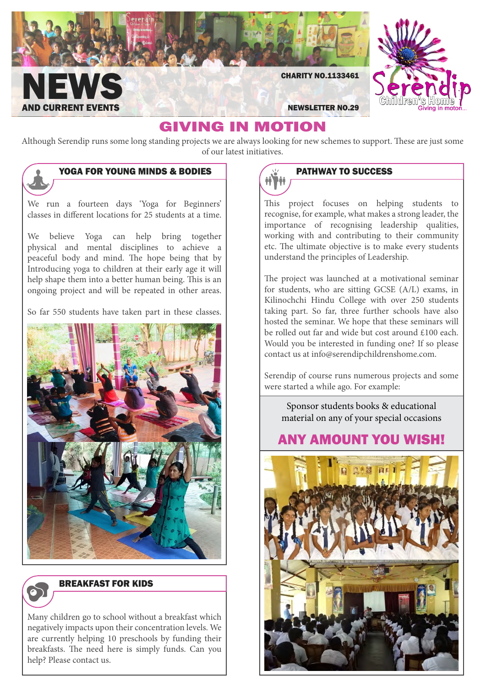

NEWSLETTER NO.29

CHARITY NO.1133461

# GIVING IN MOTION

Although Serendip runs some long standing projects we are always looking for new schemes to support. These are just some of our latest initiatives.

# YOGA FOR YOUNG MINDS & BODIES

We run a fourteen days 'Yoga for Beginners' classes in different locations for 25 students at a time.

**NEWS** 

**CURRENT EVENTS** 

We believe Yoga can help bring together physical and mental disciplines to achieve a peaceful body and mind. The hope being that by Introducing yoga to children at their early age it will help shape them into a better human being. This is an ongoing project and will be repeated in other areas.

So far 550 students have taken part in these classes.





### Breakfast for kids

Many children go to school without a breakfast which negatively impacts upon their concentration levels. We are currently helping 10 preschools by funding their breakfasts. The need here is simply funds. Can you help? Please contact us.



This project focuses on helping students to recognise, for example, what makes a strong leader, the importance of recognising leadership qualities, working with and contributing to their community etc. The ultimate objective is to make every students understand the principles of Leadership.

The project was launched at a motivational seminar for students, who are sitting GCSE (A/L) exams, in Kilinochchi Hindu College with over 250 students taking part. So far, three further schools have also hosted the seminar. We hope that these seminars will be rolled out far and wide but cost around £100 each. Would you be interested in funding one? If so please contact us at info@serendipchildrenshome.com.

Serendip of course runs numerous projects and some were started a while ago. For example:

Sponsor students books & educational material on any of your special occasions

# Any amount you wish!